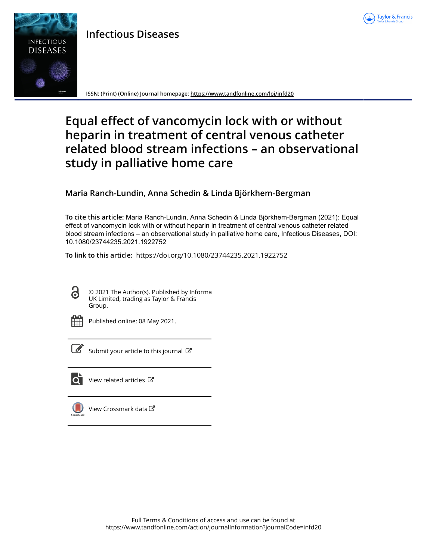

## **Infectious Diseases**



**ISSN: (Print) (Online) Journal homepage:<https://www.tandfonline.com/loi/infd20>**

# **Equal effect of vancomycin lock with or without heparin in treatment of central venous catheter related blood stream infections – an observational study in palliative home care**

### **Maria Ranch-Lundin, Anna Schedin & Linda Björkhem-Bergman**

**To cite this article:** Maria Ranch-Lundin, Anna Schedin & Linda Björkhem-Bergman (2021): Equal effect of vancomycin lock with or without heparin in treatment of central venous catheter related blood stream infections – an observational study in palliative home care, Infectious Diseases, DOI: [10.1080/23744235.2021.1922752](https://www.tandfonline.com/action/showCitFormats?doi=10.1080/23744235.2021.1922752)

**To link to this article:** <https://doi.org/10.1080/23744235.2021.1922752>

© 2021 The Author(s). Published by Informa UK Limited, trading as Taylor & Francis Group.



ര

Published online: 08 May 2021.



 $\overline{\mathscr{L}}$  [Submit your article to this journal](https://www.tandfonline.com/action/authorSubmission?journalCode=infd20&show=instructions)  $\mathbb{Z}$ 



 $\overrightarrow{Q}$  [View related articles](https://www.tandfonline.com/doi/mlt/10.1080/23744235.2021.1922752)  $\overrightarrow{C}$ 



[View Crossmark data](http://crossmark.crossref.org/dialog/?doi=10.1080/23744235.2021.1922752&domain=pdf&date_stamp=2021-05-08)<sup>√</sup>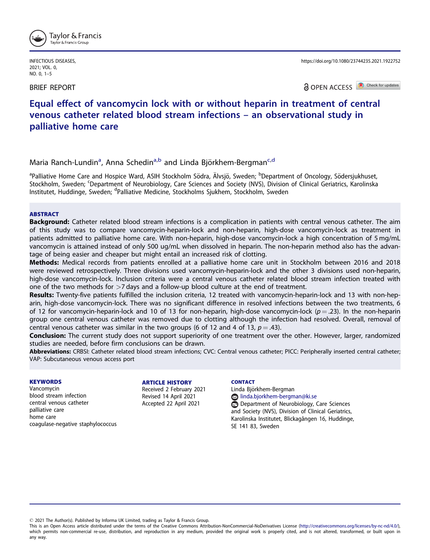

INFECTIOUS DISEASES, 2021; VOL. 0, NO. 0, 1–5

BRIEF REPORT

https://doi.org/10.1080/23744235.2021.1922752

**a** OPEN ACCESS **D** Check for updates

## Equal effect of vancomycin lock with or without heparin in treatment of central venous catheter related blood stream infections – an observational study in palliative home care

Maria Ranch-Lundin<sup>a</sup>, Anna Schedin<sup>a,b</sup> and Linda Björkhem-Bergman<sup>c,d</sup>

<sup>a</sup>Palliative Home Care and Hospice Ward, ASIH Stockholm Södra, Älvsjö, Sweden; <sup>b</sup>Department of Oncology, Södersjukhuset, Stockholm, Sweden; <sup>c</sup>Department of Neurobiology, Care Sciences and Society (NVS), Division of Clinical Geriatrics, Karolinska Institutet, Huddinge, Sweden; <sup>d</sup>Palliative Medicine, Stockholms Sjukhem, Stockholm, Sweden

#### ABSTRACT

Background: Catheter related blood stream infections is a complication in patients with central venous catheter. The aim of this study was to compare vancomycin-heparin-lock and non-heparin, high-dose vancomycin-lock as treatment in patients admitted to palliative home care. With non-heparin, high-dose vancomycin-lock a high concentration of 5 mg/mL vancomycin is attained instead of only 500 ug/mL when dissolved in heparin. The non-heparin method also has the advantage of being easier and cheaper but might entail an increased risk of clotting.

Methods: Medical records from patients enrolled at a palliative home care unit in Stockholm between 2016 and 2018 were reviewed retrospectively. Three divisions used vancomycin-heparin-lock and the other 3 divisions used non-heparin, high-dose vancomycin-lock. Inclusion criteria were a central venous catheter related blood stream infection treated with one of the two methods for  $>7$  days and a follow-up blood culture at the end of treatment.

Results: Twenty-five patients fulfilled the inclusion criteria, 12 treated with vancomycin-heparin-lock and 13 with non-heparin, high-dose vancomycin-lock. There was no significant difference in resolved infections between the two treatments, 6 of 12 for vancomycin-heparin-lock and 10 of 13 for non-heparin, high-dose vancomycin-lock ( $p = .23$ ). In the non-heparin group one central venous catheter was removed due to clotting although the infection had resolved. Overall, removal of central venous catheter was similar in the two groups (6 of 12 and 4 of 13,  $p = .43$ ).

Conclusion: The current study does not support superiority of one treatment over the other. However, larger, randomized studies are needed, before firm conclusions can be drawn.

Abbreviations: CRBSI: Catheter related blood stream infections; CVC: Central venous catheter; PICC: Peripherally inserted central catheter; VAP: Subcutaneous venous access port

#### **KEYWORDS**

Vancomycin blood stream infection central venous catheter palliative care home care coagulase-negative staphylococcus

#### ARTICLE HISTORY

Received 2 February 2021 Revised 14 April 2021 Accepted 22 April 2021

#### **CONTACT**

Linda Björkhem-Bergman linda.bjorkhem-bergman@ki.se Department of Neurobiology, Care Sciences and Society (NVS), Division of Clinical Geriatrics, Karolinska Institutet, Blickagången 16, Huddinge, SE 141 83, Sweden

2021 The Author(s). Published by Informa UK Limited, trading as Taylor & Francis Group.

This is an Open Access article distributed under the terms of the Creative Commons Attribution-NonCommercial-NoDerivatives License (<http://creativecommons.org/licenses/by-nc-nd/4.0/>), which permits non-commercial re-use, distribution, and reproduction in any medium, provided the original work is properly cited, and is not altered, transformed, or built upon in any way.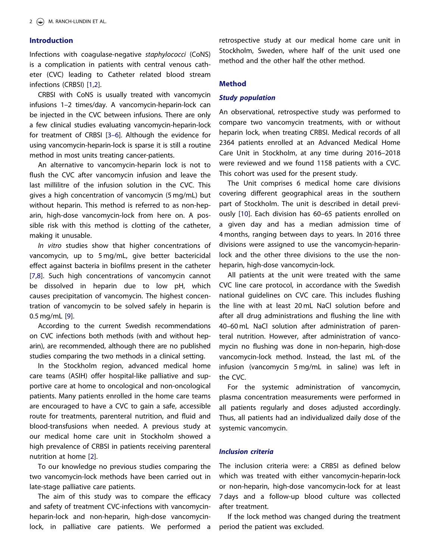#### <span id="page-2-0"></span>Introduction

Infections with coagulase-negative staphylococci (CoNS) is a complication in patients with central venous catheter (CVC) leading to Catheter related blood stream infections (CRBSI) [[1,2\]](#page-5-0).

CRBSI with CoNS is usually treated with vancomycin infusions 1–2 times/day. A vancomycin-heparin-lock can be injected in the CVC between infusions. There are only a few clinical studies evaluating vancomycin-heparin-lock for treatment of CRBSI [3[–](#page-5-0)6]. Although the evidence for using vancomycin-heparin-lock is sparse it is still a routine method in most units treating cancer-patients.

An alternative to vancomycin-heparin lock is not to flush the CVC after vancomycin infusion and leave the last millilitre of the infusion solution in the CVC. This gives a high concentration of vancomycin (5 mg/mL) but without heparin. This method is referred to as non-heparin, high-dose vancomycin-lock from here on. A possible risk with this method is clotting of the catheter, making it unusable.

In vitro studies show that higher concentrations of vancomycin, up to 5 mg/mL, give better bactericidal effect against bacteria in biofilms present in the catheter [[7,8\]](#page-5-0). Such high concentrations of vancomycin cannot be dissolved in heparin due to low pH, which causes precipitation of vancomycin. The highest concentration of vancomycin to be solved safely in heparin is 0.5 mg/mL [[9](#page-5-0)].

According to the current Swedish recommendations on CVC infections both methods (with and without heparin), are recommended, although there are no published studies comparing the two methods in a clinical setting.

In the Stockholm region, advanced medical home care teams (ASIH) offer hospital-like palliative and supportive care at home to oncological and non-oncological patients. Many patients enrolled in the home care teams are encouraged to have a CVC to gain a safe, accessible route for treatments, parenteral nutrition, and fluid and blood-transfusions when needed. A previous study at our medical home care unit in Stockholm showed a high prevalence of CRBSI in patients receiving parenteral nutrition at home [[2](#page-5-0)].

To our knowledge no previous studies comparing the two vancomycin-lock methods have been carried out in late-stage palliative care patients.

The aim of this study was to compare the efficacy and safety of treatment CVC-infections with vancomycinheparin-lock and non-heparin, high-dose vancomycinlock, in palliative care patients. We performed a retrospective study at our medical home care unit in Stockholm, Sweden, where half of the unit used one method and the other half the other method.

#### Method

#### Study population

An observational, retrospective study was performed to compare two vancomycin treatments, with or without heparin lock, when treating CRBSI. Medical records of all 2364 patients enrolled at an Advanced Medical Home Care Unit in Stockholm, at any time during 2016–2018 were reviewed and we found 1158 patients with a CVC. This cohort was used for the present study.

The Unit comprises 6 medical home care divisions covering different geographical areas in the southern part of Stockholm. The unit is described in detail previously [\[10\]](#page-5-0). Each division has 60–65 patients enrolled on a given day and has a median admission time of 4 months, ranging between days to years. In 2016 three divisions were assigned to use the vancomycin-heparinlock and the other three divisions to the use the nonheparin, high-dose vancomycin-lock.

All patients at the unit were treated with the same CVC line care protocol, in accordance with the Swedish national guidelines on CVC care. This includes flushing the line with at least 20 mL NaCl solution before and after all drug administrations and flushing the line with 40–60 mL NaCl solution after administration of parenteral nutrition. However, after administration of vancomycin no flushing was done in non-heparin, high-dose vancomycin-lock method. Instead, the last mL of the infusion (vancomycin 5 mg/mL in saline) was left in the CVC.

For the systemic administration of vancomycin, plasma concentration measurements were performed in all patients regularly and doses adjusted accordingly. Thus, all patients had an individualized daily dose of the systemic vancomycin.

#### Inclusion criteria

The inclusion criteria were: a CRBSI as defined below which was treated with either vancomycin-heparin-lock or non-heparin, high-dose vancomycin-lock for at least 7 days and a follow-up blood culture was collected after treatment.

If the lock method was changed during the treatment period the patient was excluded.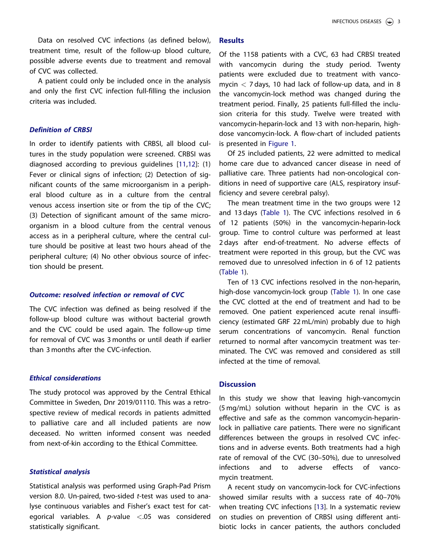<span id="page-3-0"></span>Data on resolved CVC infections (as defined below), treatment time, result of the follow-up blood culture, possible adverse events due to treatment and removal of CVC was collected.

A patient could only be included once in the analysis and only the first CVC infection full-filling the inclusion criteria was included.

#### Definition of CRBSI

In order to identify patients with CRBSI, all blood cultures in the study population were screened. CRBSI was diagnosed according to previous guidelines [\[11,12](#page-5-0)]: (1) Fever or clinical signs of infection; (2) Detection of significant counts of the same microorganism in a peripheral blood culture as in a culture from the central venous access insertion site or from the tip of the CVC; (3) Detection of significant amount of the same microorganism in a blood culture from the central venous access as in a peripheral culture, where the central culture should be positive at least two hours ahead of the peripheral culture; (4) No other obvious source of infection should be present.

#### Outcome: resolved infection or removal of CVC

The CVC infection was defined as being resolved if the follow-up blood culture was without bacterial growth and the CVC could be used again. The follow-up time for removal of CVC was 3 months or until death if earlier than 3 months after the CVC-infection.

#### Ethical considerations

The study protocol was approved by the Central Ethical Committee in Sweden, Dnr 2019/01110. This was a retrospective review of medical records in patients admitted to palliative care and all included patients are now deceased. No written informed consent was needed from next-of-kin according to the Ethical Committee.

#### Statistical analysis

Statistical analysis was performed using Graph-Pad Prism version 8.0. Un-paired, two-sided t-test was used to analyse continuous variables and Fisher's exact test for categorical variables. A  $p$ -value  $\lt$ .05 was considered statistically significant.

#### **Results**

Of the 1158 patients with a CVC, 63 had CRBSI treated with vancomycin during the study period. Twenty patients were excluded due to treatment with vancomycin  $<$  7 days, 10 had lack of follow-up data, and in 8 the vancomycin-lock method was changed during the treatment period. Finally, 25 patients full-filled the inclusion criteria for this study. Twelve were treated with vancomycin-heparin-lock and 13 with non-heparin, highdose vancomycin-lock. A flow-chart of included patients is presented in [Figure 1](#page-4-0).

Of 25 included patients, 22 were admitted to medical home care due to advanced cancer disease in need of palliative care. Three patients had non-oncological conditions in need of supportive care (ALS, respiratory insufficiency and severe cerebral palsy).

The mean treatment time in the two groups were 12 and 13 days [\(Table 1](#page-4-0)). The CVC infections resolved in 6 of 12 patients (50%) in the vancomycin-heparin-lock group. Time to control culture was performed at least 2 days after end-of-treatment. No adverse effects of treatment were reported in this group, but the CVC was removed due to unresolved infection in 6 of 12 patients ([Table 1\)](#page-4-0).

Ten of 13 CVC infections resolved in the non-heparin, high-dose vancomycin-lock group ([Table 1](#page-4-0)). In one case the CVC clotted at the end of treatment and had to be removed. One patient experienced acute renal insufficiency (estimated GRF 22 mL/min) probably due to high serum concentrations of vancomycin. Renal function returned to normal after vancomycin treatment was terminated. The CVC was removed and considered as still infected at the time of removal.

#### **Discussion**

In this study we show that leaving high-vancomycin (5 mg/mL) solution without heparin in the CVC is as effective and safe as the common vancomycin-heparinlock in palliative care patients. There were no significant differences between the groups in resolved CVC infections and in adverse events. Both treatments had a high rate of removal of the CVC (30–50%), due to unresolved infections and to adverse effects of vancomycin treatment.

A recent study on vancomycin-lock for CVC-infections showed similar results with a success rate of 40–70% when treating CVC infections [\[13](#page-5-0)]. In a systematic review on studies on prevention of CRBSI using different antibiotic locks in cancer patients, the authors concluded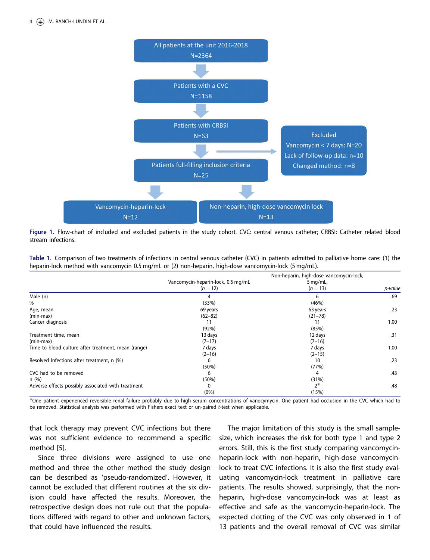<span id="page-4-0"></span>

Figure 1. Flow-chart of included and excluded patients in the study cohort. CVC: central venous catheter; CRBSI: Catheter related blood stream infections.

Table 1. Comparison of two treatments of infections in central venous catheter (CVC) in patients admitted to palliative home care: (1) the heparin-lock method with vancomycin 0.5 mg/mL or (2) non-heparin, high-dose vancomycin-lock (5 mg/mL).

|                                                     |                                                | Non-heparin, high-dose vancomycin-lock, |         |
|-----------------------------------------------------|------------------------------------------------|-----------------------------------------|---------|
|                                                     | Vancomycin-heparin-lock, 0.5 mg/mL<br>$(n=12)$ | $5$ mg/mL,<br>$(n=13)$                  | p-value |
|                                                     |                                                |                                         |         |
| Male (n)                                            | 4                                              | 6                                       | .69     |
| %                                                   | (33%)                                          | (46%)                                   |         |
| Age, mean                                           | 69 years                                       | 63 years                                | .23     |
| (min-max)                                           | $(62 - 82)$                                    | $(21 - 78)$                             |         |
| Cancer diagnosis                                    | 11                                             | 11                                      | 1.00    |
|                                                     | (92%)                                          | (85%)                                   |         |
| Treatment time, mean                                | 13 days                                        | 12 days                                 | .31     |
| (min-max)                                           | $(7-17)$                                       | $(7-16)$                                |         |
| Time to blood culture after treatment, mean (range) | 7 days                                         | 7 days                                  | 1.00    |
|                                                     | $(2 - 16)$                                     | $(2 - 15)$                              |         |
| Resolved Infections after treatment, n (%)          | 6                                              | 10                                      | .23     |
|                                                     | (50%)                                          | (77%)                                   |         |
| CVC had to be removed                               | 6                                              | 4                                       | .43     |
| n(%)                                                | (50%)                                          | (31%)                                   |         |
| Adverse effects possibly associated with treatment  | $\mathbf{0}$                                   | $2*$                                    | .48     |
|                                                     | $(0\%)$                                        | (15%)                                   |         |

 $^*$ One patient experienced reversible renal failure probably due to high serum concentrations of vanocymycin. One patient had occlusion in the CVC which had to be removed. Statistical analysis was performed with Fishers exact text or un-paired t-test when applicable.

that lock therapy may prevent CVC infections but there was not sufficient evidence to recommend a specific method [\[5\]](#page-5-0).

Since three divisions were assigned to use one method and three the other method the study design can be described as 'pseudo-randomized'. However, it cannot be excluded that different routines at the six division could have affected the results. Moreover, the retrospective design does not rule out that the populations differed with regard to other and unknown factors, that could have influenced the results.

The major limitation of this study is the small samplesize, which increases the risk for both type 1 and type 2 errors. Still, this is the first study comparing vancomycinheparin-lock with non-heparin, high-dose vancomycinlock to treat CVC infections. It is also the first study evaluating vancomycin-lock treatment in palliative care patients. The results showed, surprisingly, that the nonheparin, high-dose vancomycin-lock was at least as effective and safe as the vancomycin-heparin-lock. The expected clotting of the CVC was only observed in 1 of 13 patients and the overall removal of CVC was similar